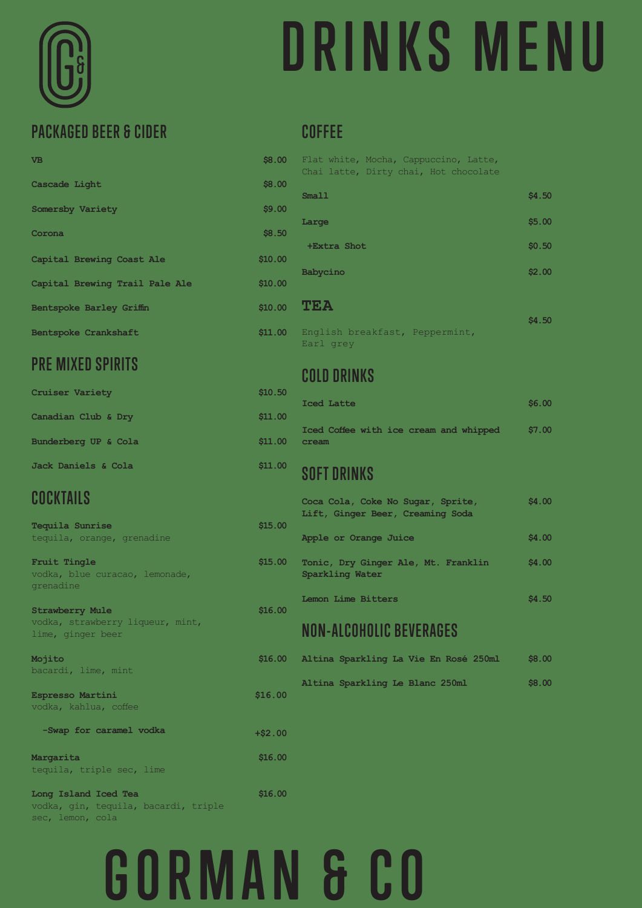# **DRINKS MENU**

### **PACKAGED BEER & CIDER**

| <b>VB</b>                      | \$8.00  |
|--------------------------------|---------|
| Cascade Light                  | \$8.00  |
| Somersby Variety               | \$9.00  |
| Corona                         | \$8.50  |
| Capital Brewing Coast Ale      | \$10.00 |
| Capital Brewing Trail Pale Ale | \$10.00 |
| Bentspoke Barley Griffin       | \$10.00 |
| Bentspoke Crankshaft           | \$11.00 |

### **PRE MIXED SPIRITS**

| <b>Cruiser Variety</b> | \$10.50 |
|------------------------|---------|
| Canadian Club & Dry    | \$11.00 |
| Bunderberg UP & Cola   | \$11.00 |
| Jack Daniels & Cola    | \$11.00 |

### **COCKTAILS**

| Tequila Sunrise |                            |
|-----------------|----------------------------|
|                 | tequila, orange, grenadine |

**Fruit Tingle** vodka, blue curacao, lemonade, grenadine

**Strawberry Mule** vodka, strawberry liqueur, mint, lime, ginger beer

**Mojito** bacardi, lime, mint

**Espresso Martini** vodka, kahlua, coffee

#### **-Swap for caramel vodka**

#### **Margarita** tequila, triple sec, lime

**Long Island Iced Tea** vodka, gin, tequila, bacardi, triple sec, lemon, cola

#### **COFFEE**

| Flat white, Mocha, Cappuccino, Latte,<br>Chai latte, Dirty chai, Hot chocolate |        |
|--------------------------------------------------------------------------------|--------|
| Sma11                                                                          | \$4.50 |
| Large                                                                          | \$5.00 |
| +Extra Shot                                                                    | \$0.50 |
| Babycino                                                                       | \$2.00 |
| TEA                                                                            | \$4.50 |
| English breakfast, Peppermint,<br>Earl grey                                    |        |

#### **COLD DRINKS**

| Iced Latte                                      |  | \$6.00 |
|-------------------------------------------------|--|--------|
| Iced Coffee with ice cream and whipped<br>cream |  | \$7.00 |

#### **SOFT DRINKS**

| Ю | Coca Cola, Coke No Sugar, Sprite,<br>Lift, Ginger Beer, Creaming Soda |        |  |  |
|---|-----------------------------------------------------------------------|--------|--|--|
|   | Apple or Orange Juice                                                 | \$4,00 |  |  |
| Ю | Tonic, Dry Ginger Ale, Mt. Franklin<br>Sparkling Water                | \$4.00 |  |  |
|   |                                                                       |        |  |  |

**Lemon Lime Bitters \$4.50**

### **NON-ALCOHOLIC BEVERAGES**

|  | Altina Sparkling La Vie En Rosé 250ml |  |  | \$8,00 |
|--|---------------------------------------|--|--|--------|
|  | Altina Sparkling Le Blanc 250ml       |  |  | \$8,00 |

**GORMAN & CO**

**\$15.00**

**\$15.00**

**\$16.00**

**\$16.00**

**\$16.00**

**+\$2.00**

**\$16.00**

**\$16.00**